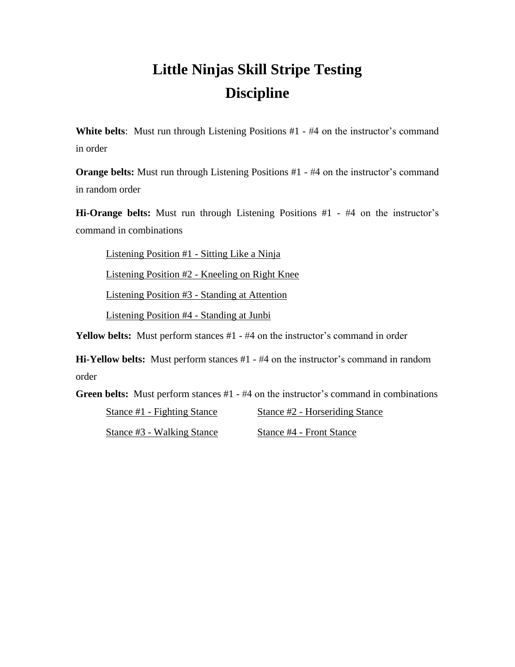## **Little Ninjas Skill Stripe Testing Discipline**

**White belts:** Must run through Listening Positions #1 - #4 on the instructor's command in order

**Orange belts:** Must run through Listening Positions #1 - #4 on the instructor's command in random order

**Hi-Orange belts:** Must run through Listening Positions #1 - #4 on the instructor's command in combinations

Listening Position #1 - Sitting Like a Ninja

Listening Position #2 - Kneeling on Right Knee

Listening Position #3 - Standing at Attention

Listening Position #4 - Standing at Junbi

**Yellow belts:** Must perform stances #1 - #4 on the instructor's command in order

**Hi-Yellow belts:** Must perform stances #1 - #4 on the instructor's command in random order

**Green belts:** Must perform stances #1 - #4 on the instructor's command in combinations

Stance #1 - Fighting Stance Stance #2 - Horseriding Stance

Stance #3 - Walking Stance Stance #4 - Front Stance